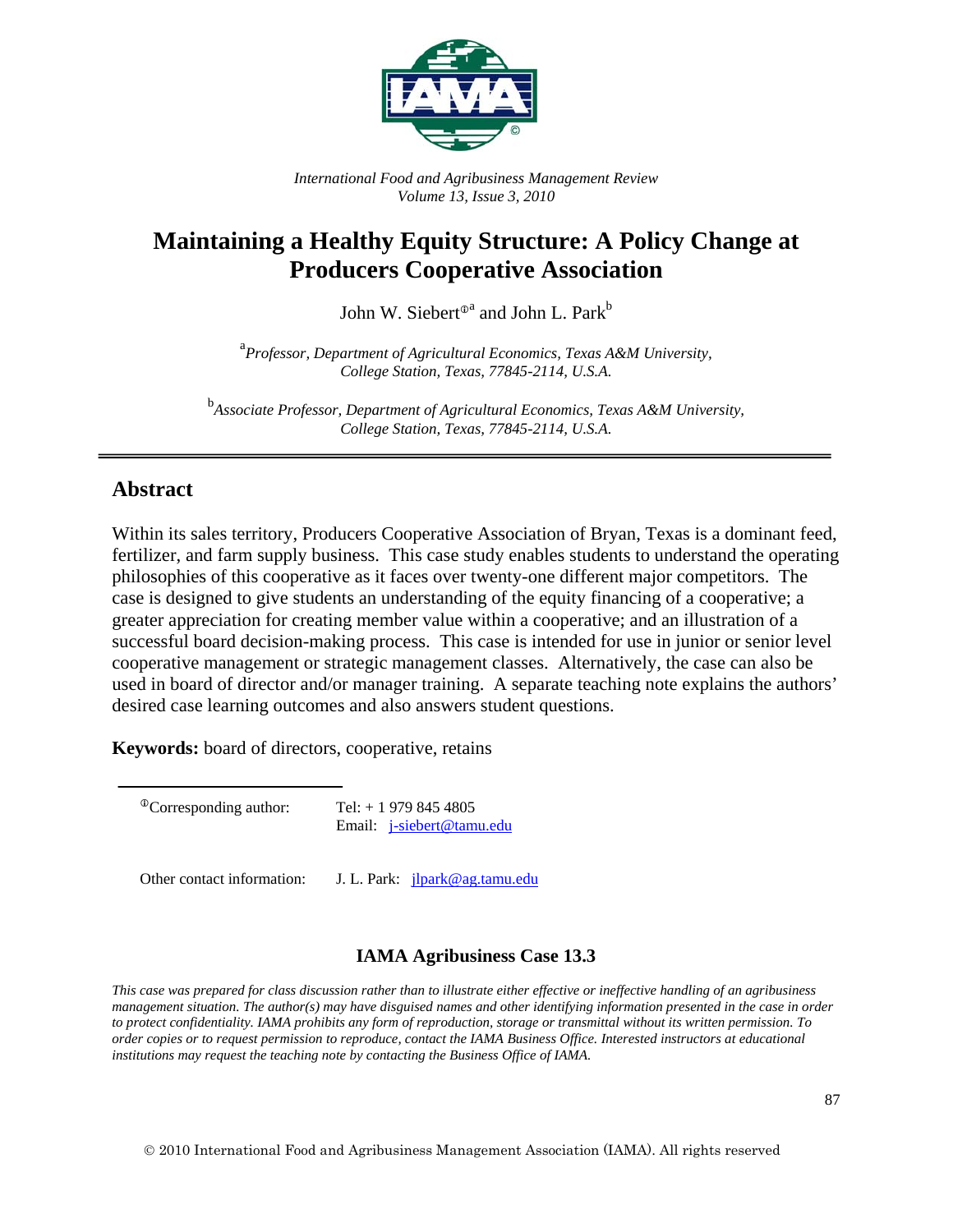

*International Food and Agribusiness Management Review Volume 13, Issue 3, 2010* 

# **Maintaining a Healthy Equity Structure: A Policy Change at Producers Cooperative Association**

John W. Siebert $^{\text{\tiny{\textup{0}}}^{\text{\tiny{a}}}}$  and John L. Park $^{\text{\tiny{\textup{b}}}}$ 

<sup>a</sup> Professor, Department of Agricultural Economics, Texas A&M University, *College Station, Texas, 77845-2114, U.S.A.* 

<sup>b</sup><br>Associate Professor, Department of Agricultural Economics, Texas A&M University, *College Station, Texas, 77845-2114, U.S.A.* 

## **Abstract**

Within its sales territory, Producers Cooperative Association of Bryan, Texas is a dominant feed, fertilizer, and farm supply business. This case study enables students to understand the operating philosophies of this cooperative as it faces over twenty-one different major competitors. The case is designed to give students an understanding of the equity financing of a cooperative; a greater appreciation for creating member value within a cooperative; and an illustration of a successful board decision-making process. This case is intended for use in junior or senior level cooperative management or strategic management classes. Alternatively, the case can also be used in board of director and/or manager training. A separate teaching note explains the authors' desired case learning outcomes and also answers student questions.

**Keywords:** board of directors, cooperative, retains

 $^{\circ}$ Corresponding author: Tel: + 1 979 845 4805 Email: j-siebert@tamu.edu

Other contact information: J. L. Park: *ilpark@ag.tamu.edu* 

#### **IAMA Agribusiness Case 13.3**

*This case was prepared for class discussion rather than to illustrate either effective or ineffective handling of an agribusiness management situation. The author(s) may have disguised names and other identifying information presented in the case in order to protect confidentiality. IAMA prohibits any form of reproduction, storage or transmittal without its written permission. To order copies or to request permission to reproduce, contact the IAMA Business Office. Interested instructors at educational institutions may request the teaching note by contacting the Business Office of IAMA.*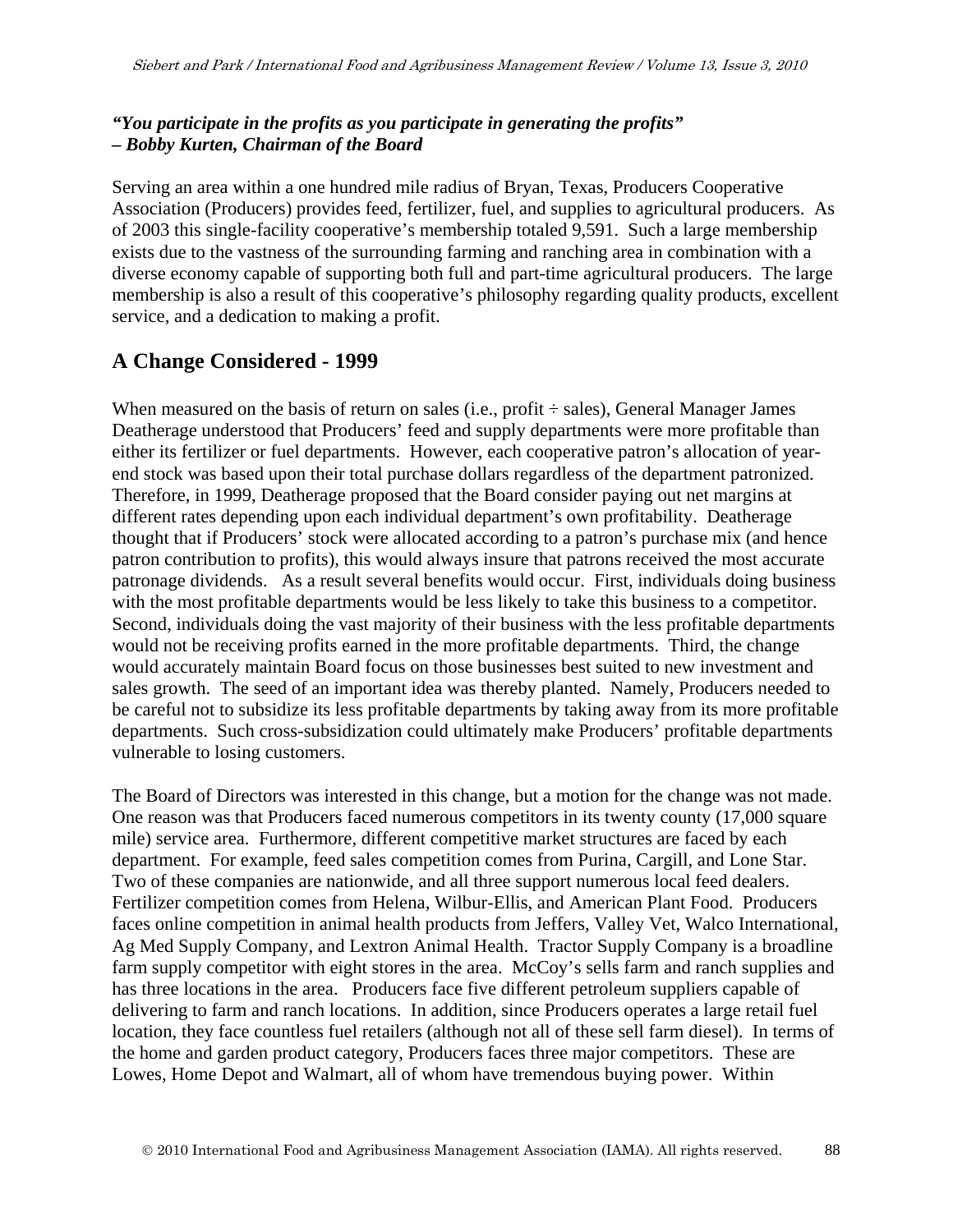#### *"You participate in the profits as you participate in generating the profits" – Bobby Kurten, Chairman of the Board*

Serving an area within a one hundred mile radius of Bryan, Texas, Producers Cooperative Association (Producers) provides feed, fertilizer, fuel, and supplies to agricultural producers. As of 2003 this single-facility cooperative's membership totaled 9,591. Such a large membership exists due to the vastness of the surrounding farming and ranching area in combination with a diverse economy capable of supporting both full and part-time agricultural producers. The large membership is also a result of this cooperative's philosophy regarding quality products, excellent service, and a dedication to making a profit.

## **A Change Considered - 1999**

When measured on the basis of return on sales (i.e., profit  $\div$  sales), General Manager James Deatherage understood that Producers' feed and supply departments were more profitable than either its fertilizer or fuel departments. However, each cooperative patron's allocation of yearend stock was based upon their total purchase dollars regardless of the department patronized. Therefore, in 1999, Deatherage proposed that the Board consider paying out net margins at different rates depending upon each individual department's own profitability. Deatherage thought that if Producers' stock were allocated according to a patron's purchase mix (and hence patron contribution to profits), this would always insure that patrons received the most accurate patronage dividends. As a result several benefits would occur. First, individuals doing business with the most profitable departments would be less likely to take this business to a competitor. Second, individuals doing the vast majority of their business with the less profitable departments would not be receiving profits earned in the more profitable departments. Third, the change would accurately maintain Board focus on those businesses best suited to new investment and sales growth. The seed of an important idea was thereby planted. Namely, Producers needed to be careful not to subsidize its less profitable departments by taking away from its more profitable departments. Such cross-subsidization could ultimately make Producers' profitable departments vulnerable to losing customers.

The Board of Directors was interested in this change, but a motion for the change was not made. One reason was that Producers faced numerous competitors in its twenty county (17,000 square mile) service area. Furthermore, different competitive market structures are faced by each department. For example, feed sales competition comes from Purina, Cargill, and Lone Star. Two of these companies are nationwide, and all three support numerous local feed dealers. Fertilizer competition comes from Helena, Wilbur-Ellis, and American Plant Food. Producers faces online competition in animal health products from Jeffers, Valley Vet, Walco International, Ag Med Supply Company, and Lextron Animal Health. Tractor Supply Company is a broadline farm supply competitor with eight stores in the area. McCoy's sells farm and ranch supplies and has three locations in the area. Producers face five different petroleum suppliers capable of delivering to farm and ranch locations. In addition, since Producers operates a large retail fuel location, they face countless fuel retailers (although not all of these sell farm diesel). In terms of the home and garden product category, Producers faces three major competitors. These are Lowes, Home Depot and Walmart, all of whom have tremendous buying power. Within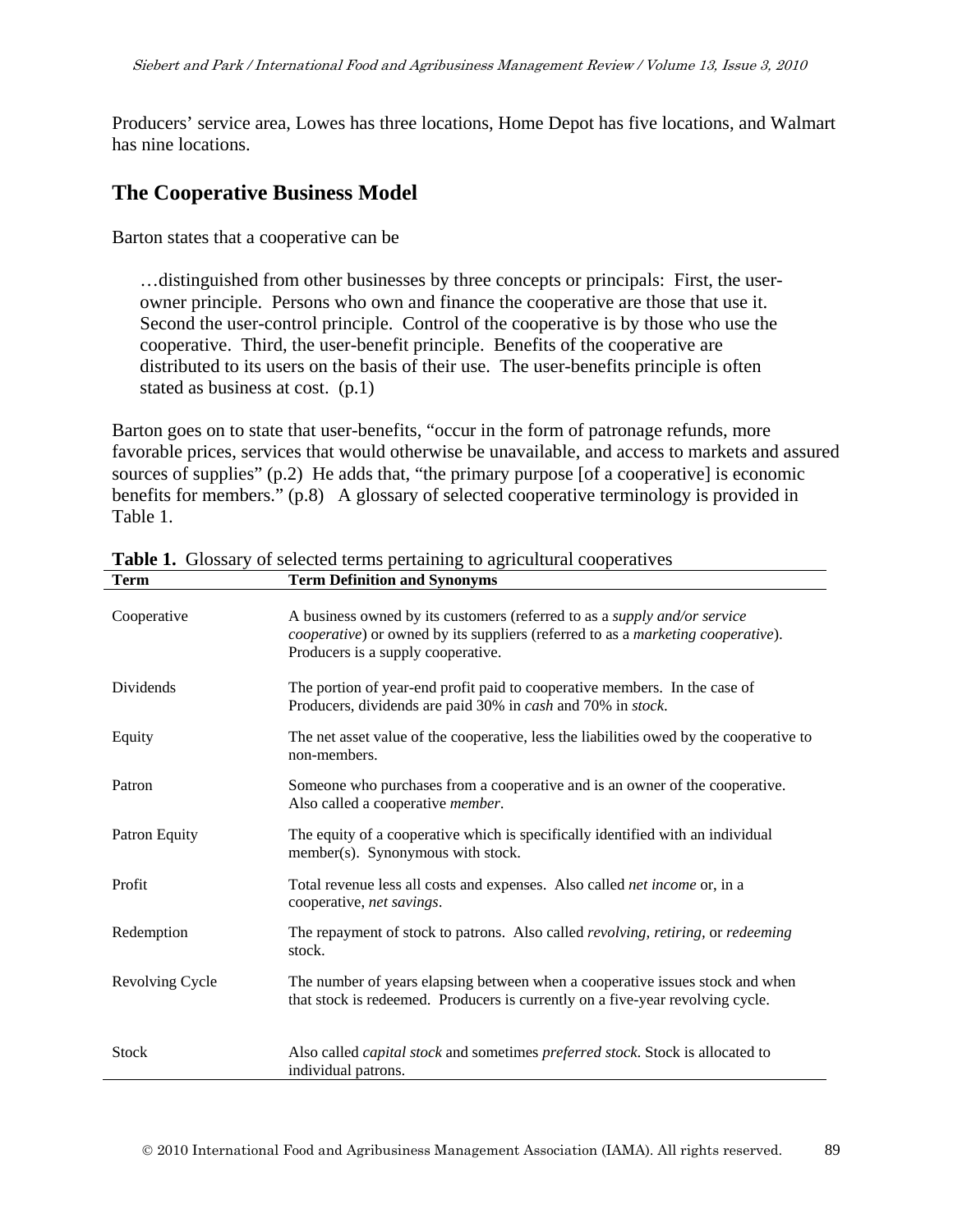Producers' service area, Lowes has three locations, Home Depot has five locations, and Walmart has nine locations.

### **The Cooperative Business Model**

Barton states that a cooperative can be

…distinguished from other businesses by three concepts or principals: First, the userowner principle. Persons who own and finance the cooperative are those that use it. Second the user-control principle. Control of the cooperative is by those who use the cooperative. Third, the user-benefit principle. Benefits of the cooperative are distributed to its users on the basis of their use. The user-benefits principle is often stated as business at cost. (p.1)

Barton goes on to state that user-benefits, "occur in the form of patronage refunds, more favorable prices, services that would otherwise be unavailable, and access to markets and assured sources of supplies" (p.2) He adds that, "the primary purpose [of a cooperative] is economic benefits for members." (p.8) A glossary of selected cooperative terminology is provided in Table 1.

| Cooperative      | A business owned by its customers (referred to as a <i>supply and/or service</i><br><i>cooperative</i> ) or owned by its suppliers (referred to as a marketing cooperative).<br>Producers is a supply cooperative. |
|------------------|--------------------------------------------------------------------------------------------------------------------------------------------------------------------------------------------------------------------|
| <b>Dividends</b> | The portion of year-end profit paid to cooperative members. In the case of<br>Producers, dividends are paid 30% in cash and 70% in stock.                                                                          |
| Equity           | The net asset value of the cooperative, less the liabilities owed by the cooperative to<br>non-members.                                                                                                            |
| Patron           | Someone who purchases from a cooperative and is an owner of the cooperative.<br>Also called a cooperative <i>member</i> .                                                                                          |
| Patron Equity    | The equity of a cooperative which is specifically identified with an individual<br>member(s). Synonymous with stock.                                                                                               |
| Profit           | Total revenue less all costs and expenses. Also called <i>net income</i> or, in a<br>cooperative, net savings.                                                                                                     |
| Redemption       | The repayment of stock to patrons. Also called revolving, retiring, or redeeming<br>stock.                                                                                                                         |
| Revolving Cycle  | The number of years elapsing between when a cooperative issues stock and when<br>that stock is redeemed. Producers is currently on a five-year revolving cycle.                                                    |
| <b>Stock</b>     | Also called <i>capital stock</i> and sometimes <i>preferred stock</i> . Stock is allocated to<br>individual patrons.                                                                                               |

**Table 1.** Glossary of selected terms pertaining to agricultural cooperatives **Term Term Definition and Synonyms**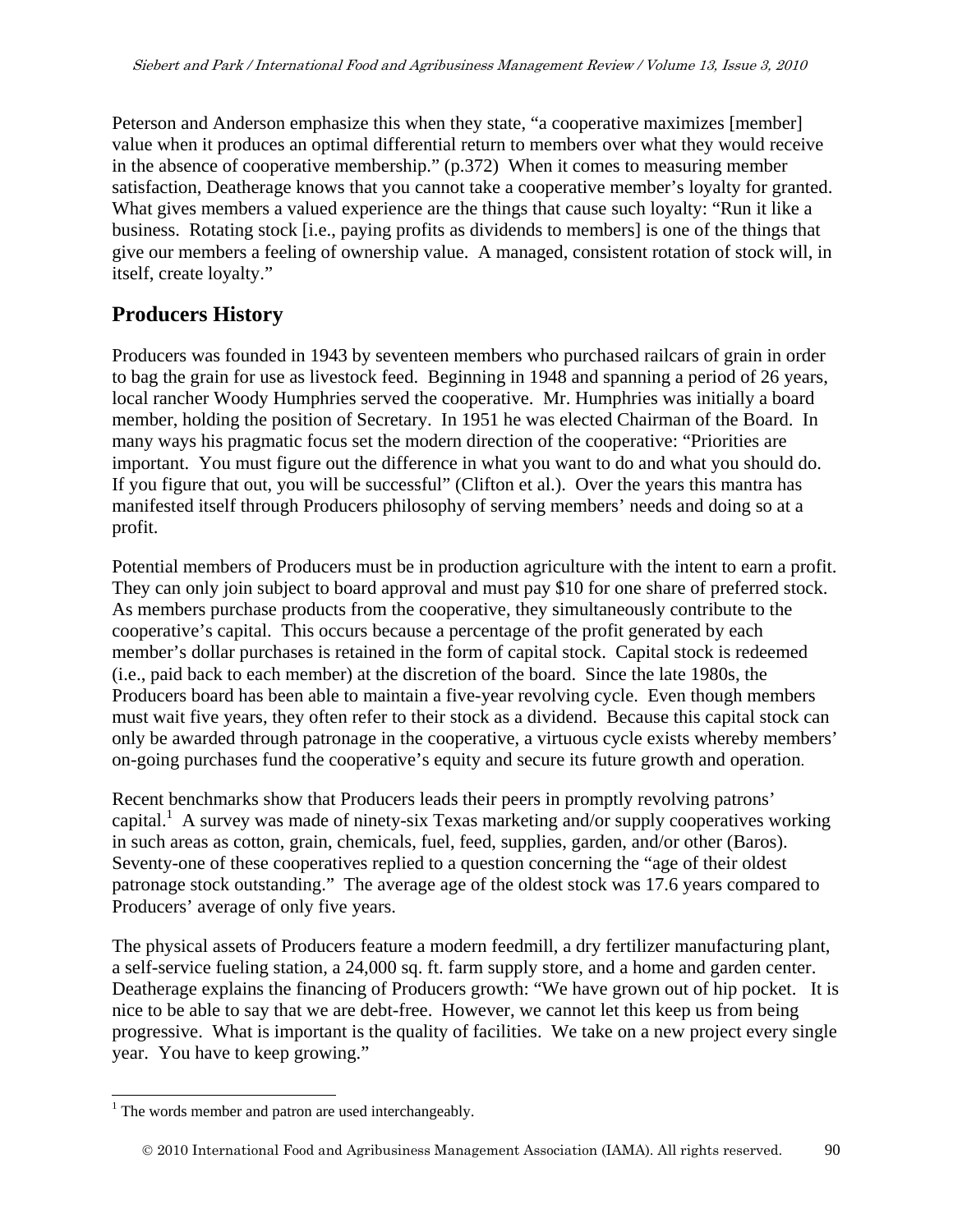Peterson and Anderson emphasize this when they state, "a cooperative maximizes [member] value when it produces an optimal differential return to members over what they would receive in the absence of cooperative membership." (p.372) When it comes to measuring member satisfaction, Deatherage knows that you cannot take a cooperative member's loyalty for granted. What gives members a valued experience are the things that cause such loyalty: "Run it like a business. Rotating stock [i.e., paying profits as dividends to members] is one of the things that give our members a feeling of ownership value. A managed, consistent rotation of stock will, in itself, create loyalty."

## **Producers History**

Producers was founded in 1943 by seventeen members who purchased railcars of grain in order to bag the grain for use as livestock feed. Beginning in 1948 and spanning a period of 26 years, local rancher Woody Humphries served the cooperative. Mr. Humphries was initially a board member, holding the position of Secretary. In 1951 he was elected Chairman of the Board. In many ways his pragmatic focus set the modern direction of the cooperative: "Priorities are important. You must figure out the difference in what you want to do and what you should do. If you figure that out, you will be successful" (Clifton et al.). Over the years this mantra has manifested itself through Producers philosophy of serving members' needs and doing so at a profit.

Potential members of Producers must be in production agriculture with the intent to earn a profit. They can only join subject to board approval and must pay \$10 for one share of preferred stock. As members purchase products from the cooperative, they simultaneously contribute to the cooperative's capital. This occurs because a percentage of the profit generated by each member's dollar purchases is retained in the form of capital stock. Capital stock is redeemed (i.e., paid back to each member) at the discretion of the board. Since the late 1980s, the Producers board has been able to maintain a five-year revolving cycle. Even though members must wait five years, they often refer to their stock as a dividend. Because this capital stock can only be awarded through patronage in the cooperative, a virtuous cycle exists whereby members' on-going purchases fund the cooperative's equity and secure its future growth and operation.

Recent benchmarks show that Producers leads their peers in promptly revolving patrons' capital.<sup>1</sup> A survey was made of ninety-six Texas marketing and/or supply cooperatives working in such areas as cotton, grain, chemicals, fuel, feed, supplies, garden, and/or other (Baros). Seventy-one of these cooperatives replied to a question concerning the "age of their oldest patronage stock outstanding." The average age of the oldest stock was 17.6 years compared to Producers' average of only five years.

The physical assets of Producers feature a modern feedmill, a dry fertilizer manufacturing plant, a self-service fueling station, a 24,000 sq. ft. farm supply store, and a home and garden center. Deatherage explains the financing of Producers growth: "We have grown out of hip pocket. It is nice to be able to say that we are debt-free. However, we cannot let this keep us from being progressive. What is important is the quality of facilities. We take on a new project every single year. You have to keep growing."

 $\overline{a}$  $<sup>1</sup>$  The words member and patron are used interchangeably.</sup>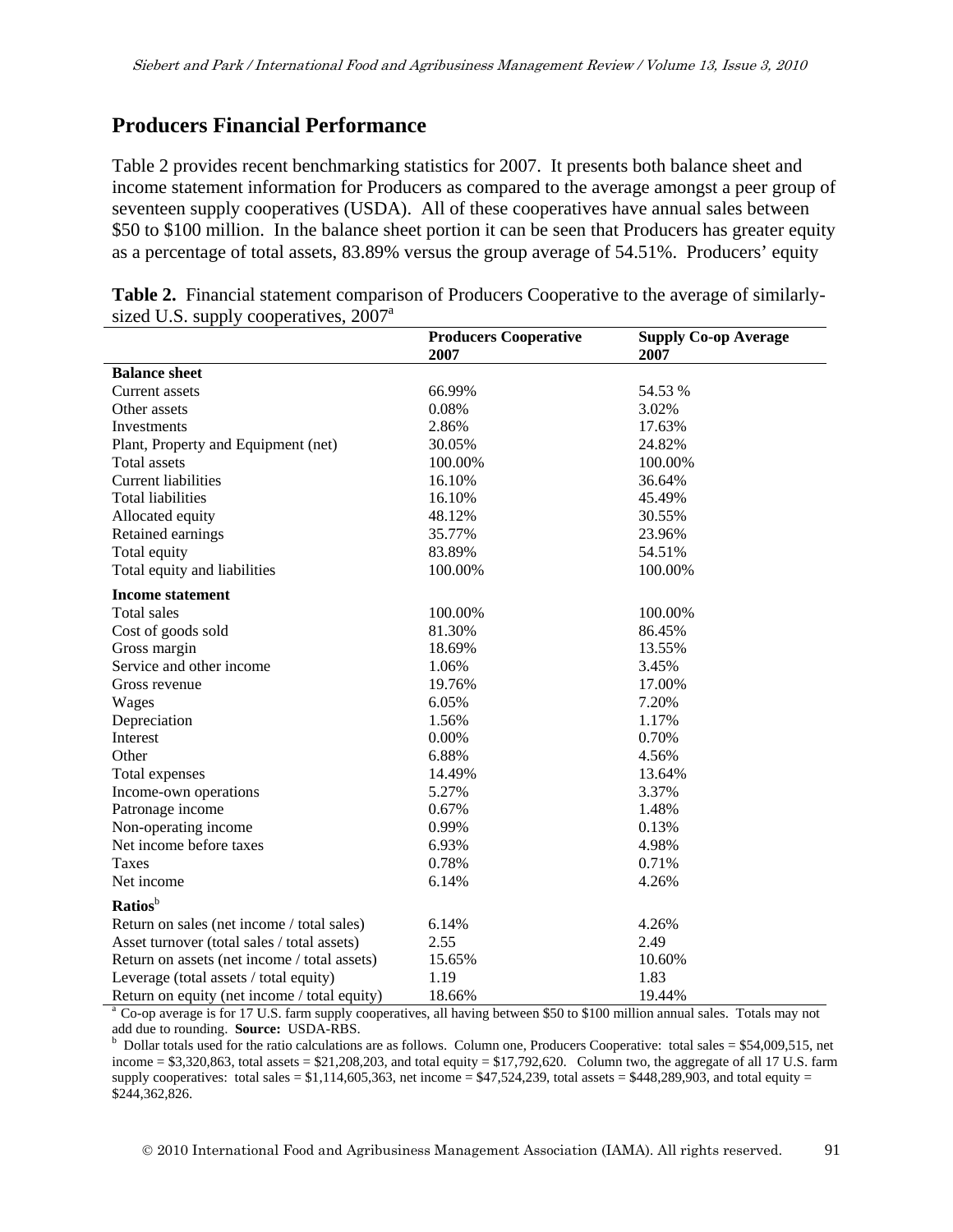### **Producers Financial Performance**

Table 2 provides recent benchmarking statistics for 2007. It presents both balance sheet and income statement information for Producers as compared to the average amongst a peer group of seventeen supply cooperatives (USDA). All of these cooperatives have annual sales between \$50 to \$100 million. In the balance sheet portion it can be seen that Producers has greater equity as a percentage of total assets, 83.89% versus the group average of 54.51%. Producers' equity

|                                              | <b>Producers Cooperative</b> | <b>Supply Co-op Average</b> |
|----------------------------------------------|------------------------------|-----------------------------|
|                                              | 2007                         | 2007                        |
| <b>Balance</b> sheet                         |                              |                             |
| Current assets                               | 66.99%                       | 54.53 %                     |
| Other assets                                 | 0.08%                        | 3.02%                       |
| Investments                                  | 2.86%                        | 17.63%                      |
| Plant, Property and Equipment (net)          | 30.05%                       | 24.82%                      |
| Total assets                                 | 100.00%                      | 100.00%                     |
| <b>Current liabilities</b>                   | 16.10%                       | 36.64%                      |
| <b>Total liabilities</b>                     | 16.10%                       | 45.49%                      |
| Allocated equity                             | 48.12%                       | 30.55%                      |
| Retained earnings                            | 35.77%                       | 23.96%                      |
| Total equity                                 | 83.89%                       | 54.51%                      |
| Total equity and liabilities                 | 100.00%                      | 100.00%                     |
| <b>Income statement</b>                      |                              |                             |
| Total sales                                  | 100.00%                      | 100.00%                     |
| Cost of goods sold                           | 81.30%                       | 86.45%                      |
| Gross margin                                 | 18.69%                       | 13.55%                      |
| Service and other income                     | 1.06%                        | 3.45%                       |
| Gross revenue                                | 19.76%                       | 17.00%                      |
| Wages                                        | 6.05%                        | 7.20%                       |
| Depreciation                                 | 1.56%                        | 1.17%                       |
| <b>Interest</b>                              | 0.00%                        | 0.70%                       |
| Other                                        | 6.88%                        | 4.56%                       |
| Total expenses                               | 14.49%                       | 13.64%                      |
| Income-own operations                        | 5.27%                        | 3.37%                       |
| Patronage income                             | 0.67%                        | 1.48%                       |
| Non-operating income                         | 0.99%                        | 0.13%                       |
| Net income before taxes                      | 6.93%                        | 4.98%                       |
| Taxes                                        | 0.78%                        | 0.71%                       |
| Net income                                   | 6.14%                        | 4.26%                       |
| Ratios <sup>b</sup>                          |                              |                             |
| Return on sales (net income / total sales)   | 6.14%                        | 4.26%                       |
| Asset turnover (total sales / total assets)  | 2.55                         | 2.49                        |
| Return on assets (net income / total assets) | 15.65%                       | 10.60%                      |
| Leverage (total assets / total equity)       | 1.19                         | 1.83                        |
| Return on equity (net income / total equity) | 18.66%                       | 19.44%                      |

**Table 2.** Financial statement comparison of Producers Cooperative to the average of similarlysized U.S. supply cooperatives,  $2007<sup>a</sup>$ 

<sup>a</sup> Co-op average is for 17 U.S. farm supply cooperatives, all having between \$50 to \$100 million annual sales. Totals may not add due to rounding. **Source:** USDA-RBS. b

 $b$  Dollar totals used for the ratio calculations are as follows. Column one, Producers Cooperative: total sales = \$54,009,515, net income  $= $3,320,863$ , total assets  $= $21,208,203$ , and total equity  $= $17,792,620$ . Column two, the aggregate of all 17 U.S. farm supply cooperatives: total sales =  $$1,114,605,363$ , net income =  $$47,524,239$ , total assets =  $$448,289,903$ , and total equity = \$244,362,826.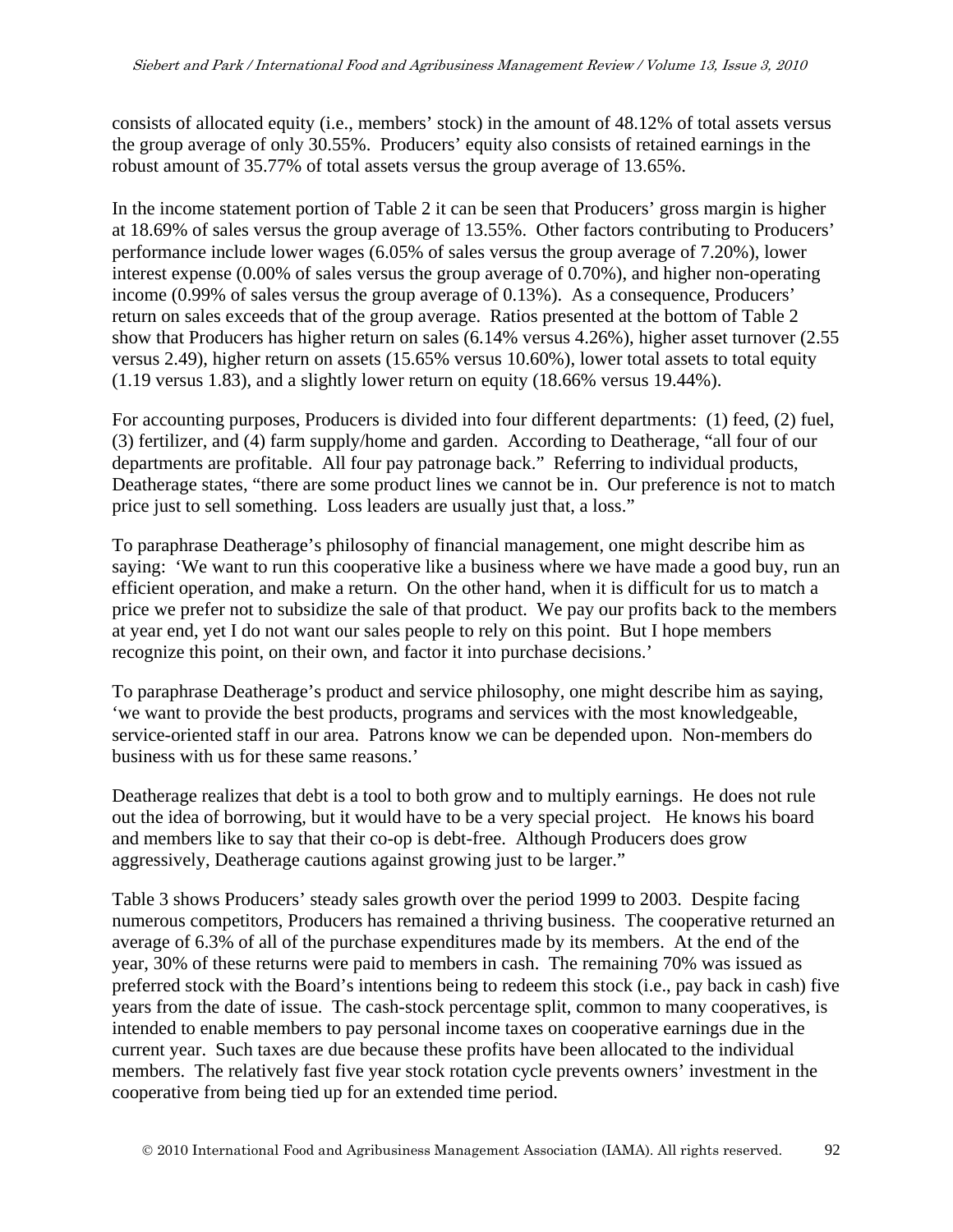consists of allocated equity (i.e., members' stock) in the amount of 48.12% of total assets versus the group average of only 30.55%. Producers' equity also consists of retained earnings in the robust amount of 35.77% of total assets versus the group average of 13.65%.

In the income statement portion of Table 2 it can be seen that Producers' gross margin is higher at 18.69% of sales versus the group average of 13.55%. Other factors contributing to Producers' performance include lower wages (6.05% of sales versus the group average of 7.20%), lower interest expense (0.00% of sales versus the group average of 0.70%), and higher non-operating income (0.99% of sales versus the group average of 0.13%). As a consequence, Producers' return on sales exceeds that of the group average. Ratios presented at the bottom of Table 2 show that Producers has higher return on sales (6.14% versus 4.26%), higher asset turnover (2.55 versus 2.49), higher return on assets (15.65% versus 10.60%), lower total assets to total equity (1.19 versus 1.83), and a slightly lower return on equity (18.66% versus 19.44%).

For accounting purposes, Producers is divided into four different departments: (1) feed, (2) fuel, (3) fertilizer, and (4) farm supply/home and garden. According to Deatherage, "all four of our departments are profitable. All four pay patronage back." Referring to individual products, Deatherage states, "there are some product lines we cannot be in. Our preference is not to match price just to sell something. Loss leaders are usually just that, a loss."

To paraphrase Deatherage's philosophy of financial management, one might describe him as saying: 'We want to run this cooperative like a business where we have made a good buy, run an efficient operation, and make a return. On the other hand, when it is difficult for us to match a price we prefer not to subsidize the sale of that product. We pay our profits back to the members at year end, yet I do not want our sales people to rely on this point. But I hope members recognize this point, on their own, and factor it into purchase decisions.'

To paraphrase Deatherage's product and service philosophy, one might describe him as saying, 'we want to provide the best products, programs and services with the most knowledgeable, service-oriented staff in our area. Patrons know we can be depended upon. Non-members do business with us for these same reasons.'

Deatherage realizes that debt is a tool to both grow and to multiply earnings. He does not rule out the idea of borrowing, but it would have to be a very special project. He knows his board and members like to say that their co-op is debt-free. Although Producers does grow aggressively, Deatherage cautions against growing just to be larger."

Table 3 shows Producers' steady sales growth over the period 1999 to 2003. Despite facing numerous competitors, Producers has remained a thriving business. The cooperative returned an average of 6.3% of all of the purchase expenditures made by its members. At the end of the year, 30% of these returns were paid to members in cash. The remaining 70% was issued as preferred stock with the Board's intentions being to redeem this stock (i.e., pay back in cash) five years from the date of issue. The cash-stock percentage split, common to many cooperatives, is intended to enable members to pay personal income taxes on cooperative earnings due in the current year. Such taxes are due because these profits have been allocated to the individual members. The relatively fast five year stock rotation cycle prevents owners' investment in the cooperative from being tied up for an extended time period.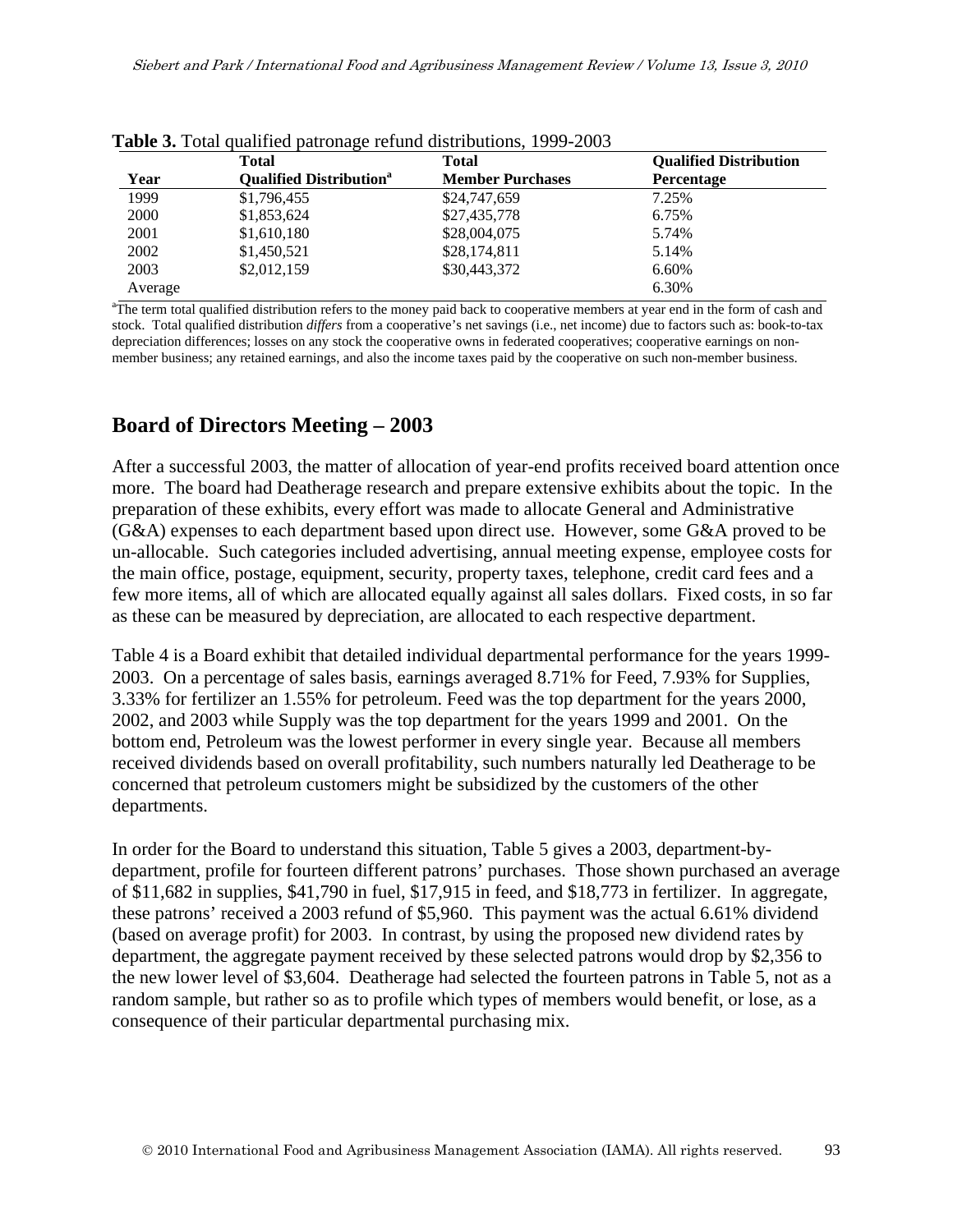|         | <b>Total</b>                               | <b>Total</b>            | <b>Qualified Distribution</b> |
|---------|--------------------------------------------|-------------------------|-------------------------------|
| Year    | <b>Qualified Distribution</b> <sup>a</sup> | <b>Member Purchases</b> | Percentage                    |
| 1999    | \$1,796,455                                | \$24,747,659            | 7.25%                         |
| 2000    | \$1,853,624                                | \$27,435,778            | 6.75%                         |
| 2001    | \$1,610,180                                | \$28,004,075            | 5.74%                         |
| 2002    | \$1,450,521                                | \$28,174,811            | 5.14%                         |
| 2003    | \$2,012,159                                | \$30,443,372            | 6.60%                         |
| Average |                                            |                         | 6.30%                         |

|  |  |  | Table 3. Total qualified patronage refund distributions, 1999-2003 |  |  |
|--|--|--|--------------------------------------------------------------------|--|--|
|--|--|--|--------------------------------------------------------------------|--|--|

stock. Total qualified distribution *differs* from a cooperative's net savings (i.e., net income) due to factors such as: book-to-tax depreciation differences; losses on any stock the cooperative owns in federated cooperatives; cooperative earnings on nonmember business; any retained earnings, and also the income taxes paid by the cooperative on such non-member business.

### **Board of Directors Meeting – 2003**

After a successful 2003, the matter of allocation of year-end profits received board attention once more. The board had Deatherage research and prepare extensive exhibits about the topic. In the preparation of these exhibits, every effort was made to allocate General and Administrative (G&A) expenses to each department based upon direct use. However, some G&A proved to be un-allocable. Such categories included advertising, annual meeting expense, employee costs for the main office, postage, equipment, security, property taxes, telephone, credit card fees and a few more items, all of which are allocated equally against all sales dollars. Fixed costs, in so far as these can be measured by depreciation, are allocated to each respective department.

Table 4 is a Board exhibit that detailed individual departmental performance for the years 1999- 2003. On a percentage of sales basis, earnings averaged 8.71% for Feed, 7.93% for Supplies, 3.33% for fertilizer an 1.55% for petroleum. Feed was the top department for the years 2000, 2002, and 2003 while Supply was the top department for the years 1999 and 2001. On the bottom end, Petroleum was the lowest performer in every single year. Because all members received dividends based on overall profitability, such numbers naturally led Deatherage to be concerned that petroleum customers might be subsidized by the customers of the other departments.

In order for the Board to understand this situation, Table 5 gives a 2003, department-bydepartment, profile for fourteen different patrons' purchases. Those shown purchased an average of \$11,682 in supplies, \$41,790 in fuel, \$17,915 in feed, and \$18,773 in fertilizer. In aggregate, these patrons' received a 2003 refund of \$5,960. This payment was the actual 6.61% dividend (based on average profit) for 2003. In contrast, by using the proposed new dividend rates by department, the aggregate payment received by these selected patrons would drop by \$2,356 to the new lower level of \$3,604. Deatherage had selected the fourteen patrons in Table 5, not as a random sample, but rather so as to profile which types of members would benefit, or lose, as a consequence of their particular departmental purchasing mix.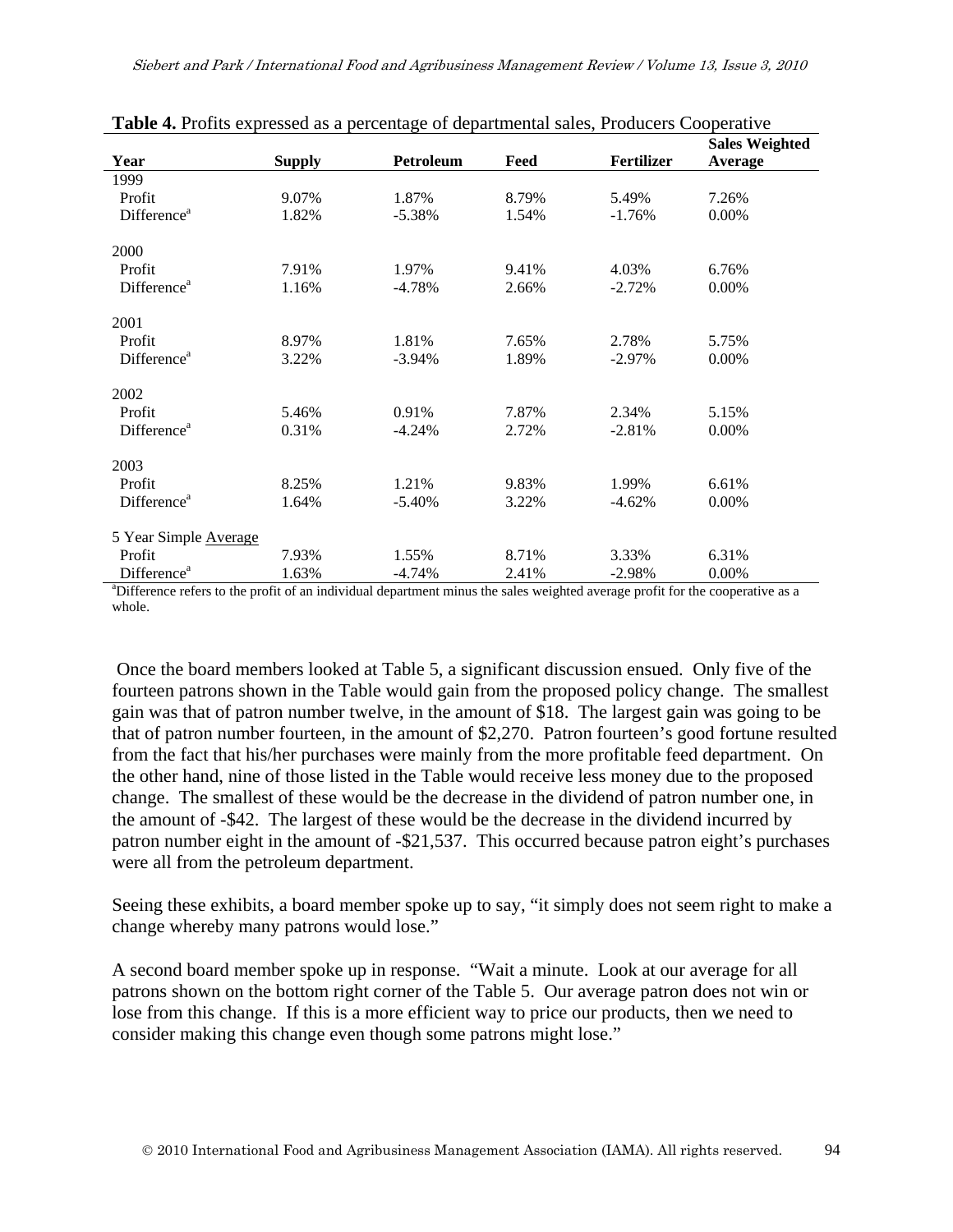|                                                                                                                                           |               |           |       |                   | <b>Sales Weighted</b> |
|-------------------------------------------------------------------------------------------------------------------------------------------|---------------|-----------|-------|-------------------|-----------------------|
| Year                                                                                                                                      | <b>Supply</b> | Petroleum | Feed  | <b>Fertilizer</b> | Average               |
| 1999                                                                                                                                      |               |           |       |                   |                       |
| Profit                                                                                                                                    | 9.07%         | 1.87%     | 8.79% | 5.49%             | 7.26%                 |
| Difference <sup>a</sup>                                                                                                                   | 1.82%         | $-5.38%$  | 1.54% | $-1.76%$          | 0.00%                 |
| 2000                                                                                                                                      |               |           |       |                   |                       |
| Profit                                                                                                                                    | 7.91%         | 1.97%     | 9.41% | 4.03%             | 6.76%                 |
| Difference <sup>a</sup>                                                                                                                   | 1.16%         | $-4.78%$  | 2.66% | $-2.72%$          | 0.00%                 |
| 2001                                                                                                                                      |               |           |       |                   |                       |
| Profit                                                                                                                                    | 8.97%         | 1.81%     | 7.65% | 2.78%             | 5.75%                 |
| Difference <sup>a</sup>                                                                                                                   | 3.22%         | $-3.94\%$ | 1.89% | $-2.97\%$         | $0.00\%$              |
| 2002                                                                                                                                      |               |           |       |                   |                       |
| Profit                                                                                                                                    | 5.46%         | 0.91%     | 7.87% | 2.34%             | 5.15%                 |
| Difference <sup>a</sup>                                                                                                                   | 0.31%         | $-4.24%$  | 2.72% | $-2.81%$          | $0.00\%$              |
| 2003                                                                                                                                      |               |           |       |                   |                       |
| Profit                                                                                                                                    | 8.25%         | 1.21%     | 9.83% | 1.99%             | 6.61%                 |
| Difference <sup>a</sup>                                                                                                                   | 1.64%         | $-5.40%$  | 3.22% | $-4.62%$          | 0.00%                 |
| 5 Year Simple Average                                                                                                                     |               |           |       |                   |                       |
| Profit                                                                                                                                    | 7.93%         | 1.55%     | 8.71% | 3.33%             | 6.31%                 |
| Difference <sup>a</sup>                                                                                                                   | 1.63%         | $-4.74%$  | 2.41% | $-2.98%$          | 0.00%                 |
| <sup>a</sup> Difference refers to the profit of an individual department minus the sales weighted average profit for the cooperative as a |               |           |       |                   |                       |

| Table 4. Profits expressed as a percentage of departmental sales, Producers Cooperative |  |  |  |
|-----------------------------------------------------------------------------------------|--|--|--|
|                                                                                         |  |  |  |

whole.

 Once the board members looked at Table 5, a significant discussion ensued. Only five of the fourteen patrons shown in the Table would gain from the proposed policy change. The smallest gain was that of patron number twelve, in the amount of \$18. The largest gain was going to be that of patron number fourteen, in the amount of \$2,270. Patron fourteen's good fortune resulted from the fact that his/her purchases were mainly from the more profitable feed department. On the other hand, nine of those listed in the Table would receive less money due to the proposed change. The smallest of these would be the decrease in the dividend of patron number one, in the amount of -\$42. The largest of these would be the decrease in the dividend incurred by patron number eight in the amount of -\$21,537. This occurred because patron eight's purchases were all from the petroleum department.

Seeing these exhibits, a board member spoke up to say, "it simply does not seem right to make a change whereby many patrons would lose."

A second board member spoke up in response. "Wait a minute. Look at our average for all patrons shown on the bottom right corner of the Table 5. Our average patron does not win or lose from this change. If this is a more efficient way to price our products, then we need to consider making this change even though some patrons might lose."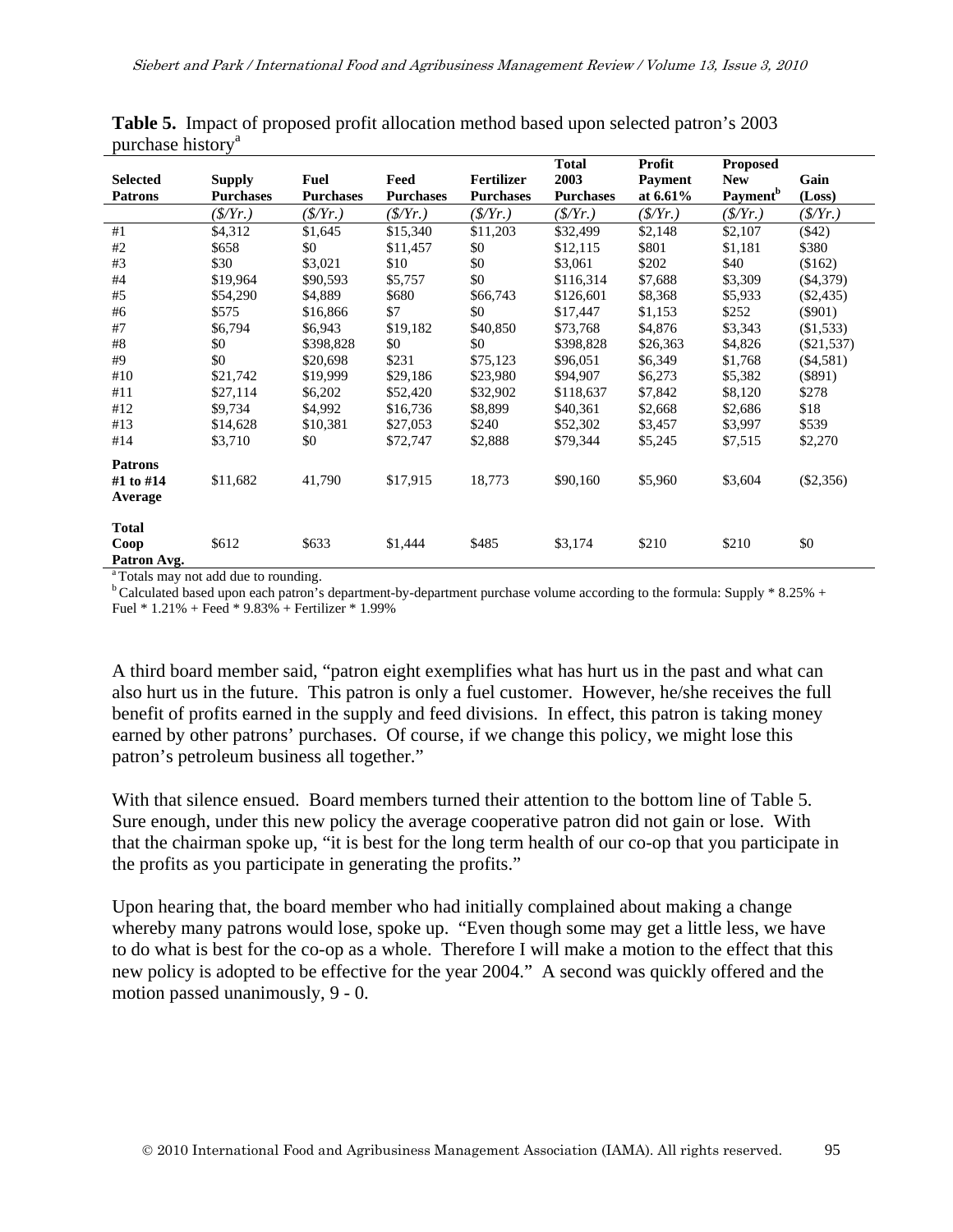| <b>Selected</b> |                                   | <b>Fuel</b>      | Feed             | <b>Fertilizer</b> | <b>Total</b><br>2003 | Profit<br><b>Payment</b> | <b>Proposed</b><br><b>New</b> | Gain            |
|-----------------|-----------------------------------|------------------|------------------|-------------------|----------------------|--------------------------|-------------------------------|-----------------|
| <b>Patrons</b>  | <b>Supply</b><br><b>Purchases</b> | <b>Purchases</b> | <b>Purchases</b> | <b>Purchases</b>  | <b>Purchases</b>     | at 6.61%                 | Payment <sup>b</sup>          | (Loss)          |
|                 | $(\frac{f}{f})$                   | $(\frac{S}{Yr})$ | $(\frac{S}{Y})$  | $(\frac{S}{Y})$   | $(\frac{S}{Y})$      | $(\frac{S}{Y})$          | $(\frac{S}{Y})$               | $(\frac{S}{Y})$ |
| #1              | \$4,312                           | \$1,645          | \$15,340         | \$11,203          | \$32,499             | \$2,148                  | \$2,107                       | $(\$42)$        |
| #2              | \$658                             | \$0              | \$11,457         | \$0               | \$12,115             | \$801                    | \$1,181                       | \$380           |
| #3              | \$30                              | \$3,021          | \$10             | \$0               | \$3,061              | \$202                    | \$40                          | (\$162)         |
| #4              | \$19,964                          | \$90,593         | \$5,757          | \$0               | \$116,314            | \$7,688                  | \$3,309                       | $(\$4,379)$     |
| #5              | \$54,290                          | \$4,889          | \$680            | \$66,743          | \$126,601            | \$8,368                  | \$5,933                       | $(\$2,435)$     |
| #6              | \$575                             | \$16,866         | \$7              | \$0               | \$17,447             | \$1,153                  | \$252                         | $($ \$901)      |
| #7              | \$6,794                           | \$6,943          | \$19,182         | \$40,850          | \$73,768             | \$4,876                  | \$3,343                       | (\$1,533)       |
| #8              | \$0                               | \$398,828        | \$0              | \$0               | \$398,828            | \$26,363                 | \$4,826                       | $(\$21,537)$    |
| #9              | \$0                               | \$20,698         | \$231            | \$75,123          | \$96,051             | \$6,349                  | \$1,768                       | $(\$4,581)$     |
| #10             | \$21,742                          | \$19,999         | \$29,186         | \$23,980          | \$94,907             | \$6,273                  | \$5,382                       | $(\$891)$       |
| #11             | \$27,114                          | \$6,202          | \$52,420         | \$32,902          | \$118,637            | \$7,842                  | \$8,120                       | \$278           |
| #12             | \$9,734                           | \$4,992          | \$16,736         | \$8,899           | \$40,361             | \$2,668                  | \$2,686                       | \$18            |
| #13             | \$14,628                          | \$10,381         | \$27,053         | \$240             | \$52,302             | \$3,457                  | \$3,997                       | \$539           |
| #14             | \$3,710                           | \$0              | \$72,747         | \$2,888           | \$79,344             | \$5,245                  | \$7,515                       | \$2,270         |
| <b>Patrons</b>  |                                   |                  |                  |                   |                      |                          |                               |                 |
| #1 to #14       | \$11,682                          | 41,790           | \$17,915         | 18,773            | \$90,160             | \$5,960                  | \$3,604                       | $(\$2,356)$     |
| Average         |                                   |                  |                  |                   |                      |                          |                               |                 |
| <b>Total</b>    |                                   |                  |                  |                   |                      |                          |                               |                 |
| Coop            | \$612                             | \$633            | \$1,444          | \$485             | \$3,174              | \$210                    | \$210                         | \$0             |
| Patron Avg.     |                                   |                  |                  |                   |                      |                          |                               |                 |

**Table 5.** Impact of proposed profit allocation method based upon selected patron's 2003 purchase history<sup>a</sup>

<sup>a</sup> Totals may not add due to rounding.

 $b$  Calculated based upon each patron's department-by-department purchase volume according to the formula: Supply  $\ast$  8.25% + Fuel  $*$  1.21% + Feed  $*$  9.83% + Fertilizer  $*$  1.99%

A third board member said, "patron eight exemplifies what has hurt us in the past and what can also hurt us in the future. This patron is only a fuel customer. However, he/she receives the full benefit of profits earned in the supply and feed divisions. In effect, this patron is taking money earned by other patrons' purchases. Of course, if we change this policy, we might lose this patron's petroleum business all together."

With that silence ensued. Board members turned their attention to the bottom line of Table 5. Sure enough, under this new policy the average cooperative patron did not gain or lose. With that the chairman spoke up, "it is best for the long term health of our co-op that you participate in the profits as you participate in generating the profits."

Upon hearing that, the board member who had initially complained about making a change whereby many patrons would lose, spoke up. "Even though some may get a little less, we have to do what is best for the co-op as a whole. Therefore I will make a motion to the effect that this new policy is adopted to be effective for the year 2004." A second was quickly offered and the motion passed unanimously, 9 - 0.